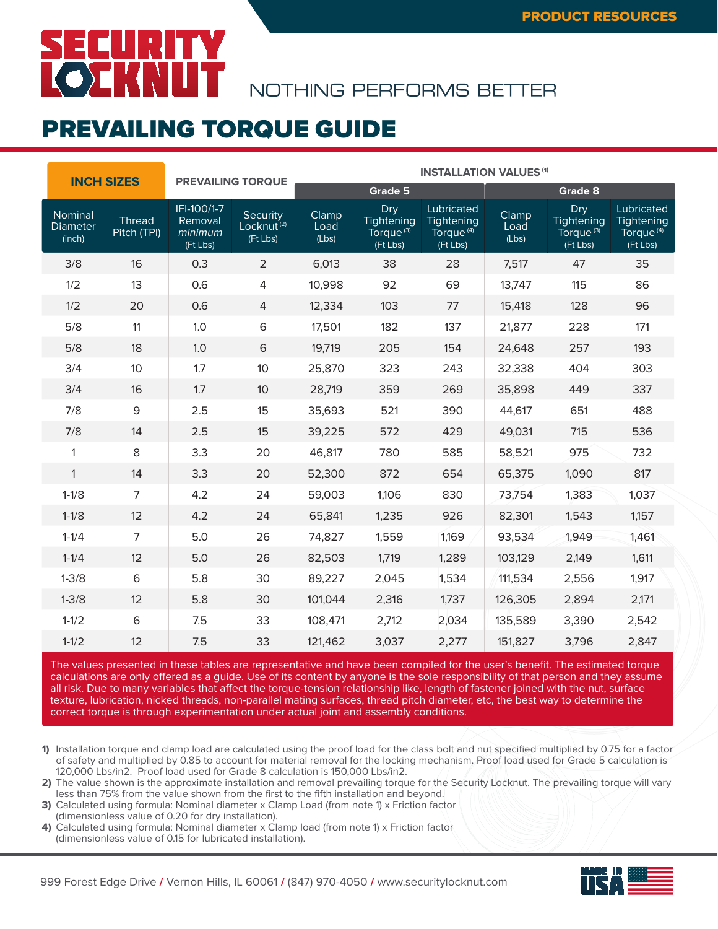## **SECURITY<br>KOZKNUT**

NOTHING PERFORMS BETTER

#### PREVAILING TORQUE GUIDE

| <b>INCH SIZES</b>                    |                       | <b>PREVAILING TORQUE</b>                      |                                                | <b>INSTALLATION VALUES (1)</b> |                                                        |                                                               |                        |                                                        |                                                               |  |
|--------------------------------------|-----------------------|-----------------------------------------------|------------------------------------------------|--------------------------------|--------------------------------------------------------|---------------------------------------------------------------|------------------------|--------------------------------------------------------|---------------------------------------------------------------|--|
|                                      |                       |                                               |                                                |                                | Grade 5                                                |                                                               |                        | <b>Grade 8</b>                                         |                                                               |  |
| Nominal<br><b>Diameter</b><br>(inch) | Thread<br>Pitch (TPI) | IFI-100/1-7<br>Removal<br>minimum<br>(Ft Lbs) | Security<br>Locknut <sup>(2)</sup><br>(Ft Lbs) | Clamp<br>Load<br>(Lbs)         | Dry<br>Tightening<br>Torque <sup>(3)</sup><br>(Ft Lbs) | Lubricated<br>Tightening<br>Torque <sup>(4)</sup><br>(Ft Lbs) | Clamp<br>Load<br>(Lbs) | Dry<br>Tightening<br>Torque <sup>(3)</sup><br>(Ft Lbs) | Lubricated<br>Tightening<br>Torque <sup>(4)</sup><br>(Ft Lbs) |  |
| 3/8                                  | 16                    | 0.3                                           | $\overline{2}$                                 | 6,013                          | 38                                                     | 28                                                            | 7,517                  | 47                                                     | 35                                                            |  |
| 1/2                                  | 13                    | 0.6                                           | 4                                              | 10,998                         | 92                                                     | 69                                                            | 13,747                 | 115                                                    | 86                                                            |  |
| 1/2                                  | 20                    | 0.6                                           | $\overline{4}$                                 | 12,334                         | 103                                                    | 77                                                            | 15,418                 | 128                                                    | 96                                                            |  |
| 5/8                                  | 11                    | 1.0                                           | 6                                              | 17,501                         | 182                                                    | 137                                                           | 21,877                 | 228                                                    | 171                                                           |  |
| 5/8                                  | 18                    | 1.0                                           | 6                                              | 19,719                         | 205                                                    | 154                                                           | 24,648                 | 257                                                    | 193                                                           |  |
| 3/4                                  | 10                    | 1.7                                           | 10                                             | 25,870                         | 323                                                    | 243                                                           | 32,338                 | 404                                                    | 303                                                           |  |
| 3/4                                  | 16                    | 1.7                                           | 10                                             | 28,719                         | 359                                                    | 269                                                           | 35,898                 | 449                                                    | 337                                                           |  |
| 7/8                                  | 9                     | 2.5                                           | 15                                             | 35,693                         | 521                                                    | 390                                                           | 44,617                 | 651                                                    | 488                                                           |  |
| 7/8                                  | 14                    | 2.5                                           | 15                                             | 39,225                         | 572                                                    | 429                                                           | 49,031                 | 715                                                    | 536                                                           |  |
| $\mathbf{1}$                         | 8                     | 3.3                                           | 20                                             | 46,817                         | 780                                                    | 585                                                           | 58,521                 | 975                                                    | 732                                                           |  |
| $\mathbf{1}$                         | 14                    | 3.3                                           | 20                                             | 52,300                         | 872                                                    | 654                                                           | 65,375                 | 1,090                                                  | 817                                                           |  |
| $1 - 1/8$                            | $\overline{7}$        | 4.2                                           | 24                                             | 59,003                         | 1,106                                                  | 830                                                           | 73,754                 | 1,383                                                  | 1,037                                                         |  |
| $1 - 1/8$                            | 12                    | 4.2                                           | 24                                             | 65,841                         | 1,235                                                  | 926                                                           | 82,301                 | 1,543                                                  | 1,157                                                         |  |
| $1 - 1/4$                            | $\overline{7}$        | 5.0                                           | 26                                             | 74,827                         | 1,559                                                  | 1,169                                                         | 93,534                 | 1,949                                                  | 1,461                                                         |  |
| $1 - 1/4$                            | 12                    | 5.0                                           | 26                                             | 82,503                         | 1,719                                                  | 1,289                                                         | 103,129                | 2,149                                                  | 1,611                                                         |  |
| $1 - 3/8$                            | 6                     | 5.8                                           | 30                                             | 89,227                         | 2,045                                                  | 1,534                                                         | 111,534                | 2,556                                                  | 1,917                                                         |  |
| $1 - 3/8$                            | 12                    | 5.8                                           | 30                                             | 101,044                        | 2,316                                                  | 1,737                                                         | 126,305                | 2,894                                                  | 2,171                                                         |  |
| $1 - 1/2$                            | 6                     | 7.5                                           | 33                                             | 108,471                        | 2,712                                                  | 2,034                                                         | 135,589                | 3,390                                                  | 2,542                                                         |  |
| $1 - 1/2$                            | 12                    | 7.5                                           | 33                                             | 121,462                        | 3,037                                                  | 2,277                                                         | 151,827                | 3,796                                                  | 2,847                                                         |  |

The values presented in these tables are representative and have been compiled for the user's benefit. The estimated torque calculations are only offered as a guide. Use of its content by anyone is the sole responsibility of that person and they assume all risk. Due to many variables that affect the torque-tension relationship like, length of fastener joined with the nut, surface texture, lubrication, nicked threads, non-parallel mating surfaces, thread pitch diameter, etc, the best way to determine the correct torque is through experimentation under actual joint and assembly conditions.

- **1)** Installation torque and clamp load are calculated using the proof load for the class bolt and nut specified multiplied by 0.75 for a factor of safety and multiplied by 0.85 to account for material removal for the locking mechanism. Proof load used for Grade 5 calculation is 120,000 Lbs/in2. Proof load used for Grade 8 calculation is 150,000 Lbs/in2.
- **2)** The value shown is the approximate installation and removal prevailing torque for the Security Locknut. The prevailing torque will vary less than 75% from the value shown from the first to the fifth installation and beyond.
- **3)** Calculated using formula: Nominal diameter x Clamp Load (from note 1) x Friction factor
- (dimensionless value of 0.20 for dry installation).
- **4)** Calculated using formula: Nominal diameter x Clamp load (from note 1) x Friction factor (dimensionless value of 0.15 for lubricated installation).

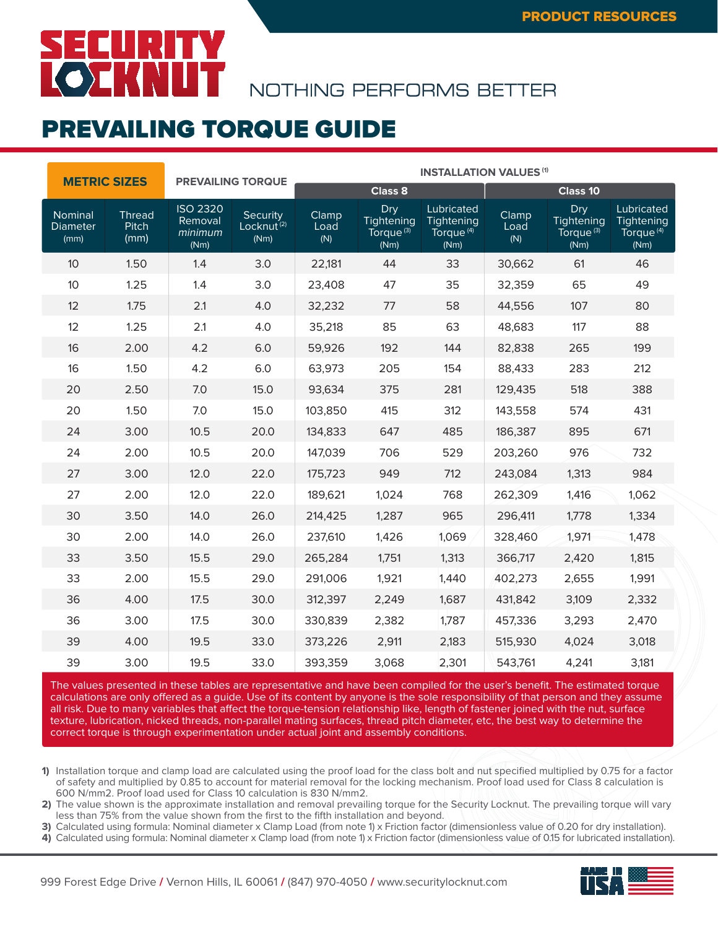### SECURITY **CERNIT**

NOTHING PERFORMS BETTER

#### PREVAILING TORQUE GUIDE

|                                    | <b>METRIC SIZES</b>            |                                               | <b>PREVAILING TORQUE</b>                   |                      | <b>INSTALLATION VALUES (1)</b>                     |                                                           |                      |                                                    |                                                           |  |  |
|------------------------------------|--------------------------------|-----------------------------------------------|--------------------------------------------|----------------------|----------------------------------------------------|-----------------------------------------------------------|----------------------|----------------------------------------------------|-----------------------------------------------------------|--|--|
|                                    |                                |                                               |                                            |                      | Class 8                                            |                                                           |                      | <b>Class 10</b>                                    |                                                           |  |  |
| Nominal<br><b>Diameter</b><br>(mm) | <b>Thread</b><br>Pitch<br>(mm) | <b>ISO 2320</b><br>Removal<br>minimum<br>(Nm) | Security<br>Locknut <sup>(2)</sup><br>(Nm) | Clamp<br>Load<br>(N) | Dry<br>Tightening<br>Torque <sup>(3)</sup><br>(Nm) | Lubricated<br>Tightening<br>Torque <sup>(4)</sup><br>(Nm) | Clamp<br>Load<br>(N) | Dry<br>Tightening<br>Torque <sup>(3)</sup><br>(Nm) | Lubricated<br>Tightening<br>Torque <sup>(4)</sup><br>(Nm) |  |  |
| 10 <sup>°</sup>                    | 1.50                           | 1.4                                           | 3.0                                        | 22,181               | 44                                                 | 33                                                        | 30,662               | 61                                                 | 46                                                        |  |  |
| 10                                 | 1.25                           | 1.4                                           | 3.0                                        | 23,408               | 47                                                 | 35                                                        | 32,359               | 65                                                 | 49                                                        |  |  |
| 12                                 | 1.75                           | 2.1                                           | 4.0                                        | 32,232               | 77                                                 | 58                                                        | 44,556               | 107                                                | 80                                                        |  |  |
| 12                                 | 1.25                           | 2.1                                           | 4.0                                        | 35,218               | 85                                                 | 63                                                        | 48,683               | 117                                                | 88                                                        |  |  |
| 16                                 | 2.00                           | 4.2                                           | 6.0                                        | 59,926               | 192                                                | 144                                                       | 82,838               | 265                                                | 199                                                       |  |  |
| 16                                 | 1.50                           | 4.2                                           | 6.0                                        | 63,973               | 205                                                | 154                                                       | 88,433               | 283                                                | 212                                                       |  |  |
| 20                                 | 2.50                           | 7.0                                           | 15.0                                       | 93,634               | 375                                                | 281                                                       | 129,435              | 518                                                | 388                                                       |  |  |
| 20                                 | 1.50                           | 7.0                                           | 15.0                                       | 103,850              | 415                                                | 312                                                       | 143,558              | 574                                                | 431                                                       |  |  |
| 24                                 | 3.00                           | 10.5                                          | 20.0                                       | 134,833              | 647                                                | 485                                                       | 186,387              | 895                                                | 671                                                       |  |  |
| 24                                 | 2.00                           | 10.5                                          | 20.0                                       | 147,039              | 706                                                | 529                                                       | 203,260              | 976                                                | 732                                                       |  |  |
| 27                                 | 3.00                           | 12.0                                          | 22.0                                       | 175,723              | 949                                                | 712                                                       | 243,084              | 1,313                                              | 984                                                       |  |  |
| 27                                 | 2.00                           | 12.0                                          | 22.0                                       | 189,621              | 1,024                                              | 768                                                       | 262,309              | 1,416                                              | 1,062                                                     |  |  |
| 30                                 | 3.50                           | 14.0                                          | 26.0                                       | 214,425              | 1,287                                              | 965                                                       | 296,411              | 1,778                                              | 1,334                                                     |  |  |
| 30                                 | 2.00                           | 14.0                                          | 26.0                                       | 237,610              | 1,426                                              | 1,069                                                     | 328,460              | 1,971                                              | 1,478                                                     |  |  |
| 33                                 | 3.50                           | 15.5                                          | 29.0                                       | 265,284              | 1,751                                              | 1,313                                                     | 366,717              | 2,420                                              | 1,815                                                     |  |  |
| 33                                 | 2.00                           | 15.5                                          | 29.0                                       | 291,006              | 1,921                                              | 1,440                                                     | 402,273              | 2,655                                              | 1,991                                                     |  |  |
| 36                                 | 4.00                           | 17.5                                          | 30.0                                       | 312,397              | 2,249                                              | 1,687                                                     | 431,842              | 3,109                                              | 2,332                                                     |  |  |
| 36                                 | 3.00                           | 17.5                                          | 30.0                                       | 330,839              | 2,382                                              | 1,787                                                     | 457,336              | 3,293                                              | 2,470                                                     |  |  |
| 39                                 | 4.00                           | 19.5                                          | 33.0                                       | 373,226              | 2,911                                              | 2,183                                                     | 515,930              | 4,024                                              | 3,018                                                     |  |  |
| 39                                 | 3.00                           | 19.5                                          | 33.0                                       | 393,359              | 3,068                                              | 2,301                                                     | 543,761              | 4,241                                              | 3,181                                                     |  |  |

The values presented in these tables are representative and have been compiled for the user's benefit. The estimated torque calculations are only offered as a guide. Use of its content by anyone is the sole responsibility of that person and they assume all risk. Due to many variables that affect the torque-tension relationship like, length of fastener joined with the nut, surface texture, lubrication, nicked threads, non-parallel mating surfaces, thread pitch diameter, etc, the best way to determine the correct torque is through experimentation under actual joint and assembly conditions.

**1)** Installation torque and clamp load are calculated using the proof load for the class bolt and nut specified multiplied by 0.75 for a factor of safety and multiplied by 0.85 to account for material removal for the locking mechanism. Proof load used for Class 8 calculation is 600 N/mm2. Proof load used for Class 10 calculation is 830 N/mm2.

**2)** The value shown is the approximate installation and removal prevailing torque for the Security Locknut. The prevailing torque will vary less than 75% from the value shown from the first to the fifth installation and beyond.

**3)** Calculated using formula: Nominal diameter x Clamp Load (from note 1) x Friction factor (dimensionless value of 0.20 for dry installation).

**4)** Calculated using formula: Nominal diameter x Clamp load (from note 1) x Friction factor (dimensionless value of 0.15 for lubricated installation).